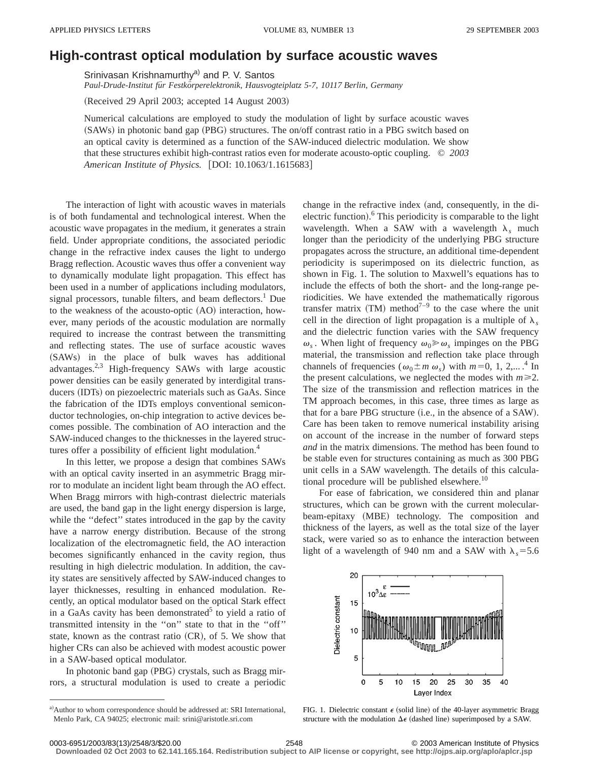## **High-contrast optical modulation by surface acoustic waves**

Srinivasan Krishnamurthy<sup>a)</sup> and P. V. Santos

Paul-Drude-Institut für Festkörperelektronik, Hausvogteiplatz 5-7, 10117 Berlin, Germany

(Received 29 April 2003; accepted 14 August 2003)

Numerical calculations are employed to study the modulation of light by surface acoustic waves (SAWs) in photonic band gap (PBG) structures. The on/off contrast ratio in a PBG switch based on an optical cavity is determined as a function of the SAW-induced dielectric modulation. We show that these structures exhibit high-contrast ratios even for moderate acousto-optic coupling. © *2003 American Institute of Physics.* [DOI: 10.1063/1.1615683]

The interaction of light with acoustic waves in materials is of both fundamental and technological interest. When the acoustic wave propagates in the medium, it generates a strain field. Under appropriate conditions, the associated periodic change in the refractive index causes the light to undergo Bragg reflection. Acoustic waves thus offer a convenient way to dynamically modulate light propagation. This effect has been used in a number of applications including modulators, signal processors, tunable filters, and beam deflectors.<sup>1</sup> Due to the weakness of the acousto-optic  $(AO)$  interaction, however, many periods of the acoustic modulation are normally required to increase the contrast between the transmitting and reflecting states. The use of surface acoustic waves (SAWs) in the place of bulk waves has additional advantages.<sup>2,3</sup> High-frequency SAWs with large acoustic power densities can be easily generated by interdigital transducers (IDTs) on piezoelectric materials such as GaAs. Since the fabrication of the IDTs employs conventional semiconductor technologies, on-chip integration to active devices becomes possible. The combination of AO interaction and the SAW-induced changes to the thicknesses in the layered structures offer a possibility of efficient light modulation.<sup>4</sup>

In this letter, we propose a design that combines SAWs with an optical cavity inserted in an asymmetric Bragg mirror to modulate an incident light beam through the AO effect. When Bragg mirrors with high-contrast dielectric materials are used, the band gap in the light energy dispersion is large, while the "defect" states introduced in the gap by the cavity have a narrow energy distribution. Because of the strong localization of the electromagnetic field, the AO interaction becomes significantly enhanced in the cavity region, thus resulting in high dielectric modulation. In addition, the cavity states are sensitively affected by SAW-induced changes to layer thicknesses, resulting in enhanced modulation. Recently, an optical modulator based on the optical Stark effect in a GaAs cavity has been demonstrated<sup>5</sup> to yield a ratio of transmitted intensity in the ''on'' state to that in the ''off'' state, known as the contrast ratio  $(CR)$ , of 5. We show that higher CRs can also be achieved with modest acoustic power in a SAW-based optical modulator.

In photonic band gap (PBG) crystals, such as Bragg mirrors, a structural modulation is used to create a periodic change in the refractive index (and, consequently, in the dielectric function).<sup>6</sup> This periodicity is comparable to the light wavelength. When a SAW with a wavelength  $\lambda_s$  much longer than the periodicity of the underlying PBG structure propagates across the structure, an additional time-dependent periodicity is superimposed on its dielectric function, as shown in Fig. 1. The solution to Maxwell's equations has to include the effects of both the short- and the long-range periodicities. We have extended the mathematically rigorous transfer matrix  $(TM)$  method<sup>7-9</sup> to the case where the unit cell in the direction of light propagation is a multiple of  $\lambda_s$ and the dielectric function varies with the SAW frequency  $\omega_s$ . When light of frequency  $\omega_0 \geq \omega_s$  impinges on the PBG material, the transmission and reflection take place through channels of frequencies ( $\omega_0 \pm m \omega_s$ ) with  $m=0, 1, 2,...$ .<sup>4</sup> In the present calculations, we neglected the modes with  $m \ge 2$ . The size of the transmission and reflection matrices in the TM approach becomes, in this case, three times as large as that for a bare PBG structure (i.e., in the absence of a SAW). Care has been taken to remove numerical instability arising on account of the increase in the number of forward steps *and* in the matrix dimensions. The method has been found to be stable even for structures containing as much as 300 PBG unit cells in a SAW wavelength. The details of this calculational procedure will be published elsewhere.<sup>10</sup>

For ease of fabrication, we considered thin and planar structures, which can be grown with the current molecularbeam-epitaxy (MBE) technology. The composition and thickness of the layers, as well as the total size of the layer stack, were varied so as to enhance the interaction between light of a wavelength of 940 nm and a SAW with  $\lambda_s = 5.6$ 



FIG. 1. Dielectric constant  $\epsilon$  (solid line) of the 40-layer asymmetric Bragg structure with the modulation  $\Delta \epsilon$  (dashed line) superimposed by a SAW.

**Downloaded 02 Oct 2003 to 62.141.165.164. Redistribution subject to AIP license or copyright, see http://ojps.aip.org/aplo/aplcr.jsp**

a) Author to whom correspondence should be addressed at: SRI International, Menlo Park, CA 94025; electronic mail: srini@aristotle.sri.com

<sup>0003-6951/2003/83(13)/2548/3/\$20.00 © 2003</sup> American Institute of Physics 2548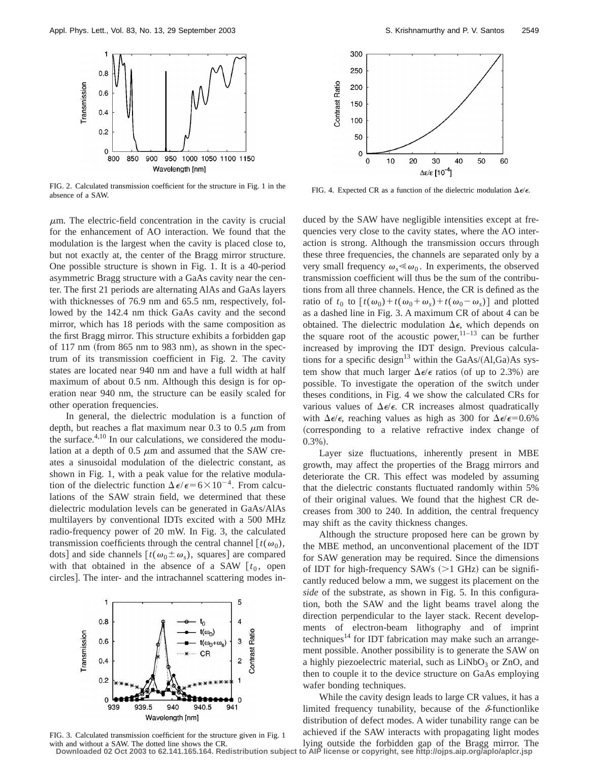

FIG. 2. Calculated transmission coefficient for the structure in Fig. 1 in the absence of a SAW.

 $\mu$ m. The electric-field concentration in the cavity is crucial for the enhancement of AO interaction. We found that the modulation is the largest when the cavity is placed close to, but not exactly at, the center of the Bragg mirror structure. One possible structure is shown in Fig. 1. It is a 40-period asymmetric Bragg structure with a GaAs cavity near the center. The first 21 periods are alternating AlAs and GaAs layers with thicknesses of 76.9 nm and 65.5 nm, respectively, followed by the 142.4 nm thick GaAs cavity and the second mirror, which has 18 periods with the same composition as the first Bragg mirror. This structure exhibits a forbidden gap of  $117$  nm (from  $865$  nm to  $983$  nm), as shown in the spectrum of its transmission coefficient in Fig. 2. The cavity states are located near 940 nm and have a full width at half maximum of about 0.5 nm. Although this design is for operation near 940 nm, the structure can be easily scaled for other operation frequencies.

In general, the dielectric modulation is a function of depth, but reaches a flat maximum near 0.3 to 0.5  $\mu$ m from the surface. $4,10$  In our calculations, we considered the modulation at a depth of  $0.5 \mu m$  and assumed that the SAW creates a sinusoidal modulation of the dielectric constant, as shown in Fig. 1, with a peak value for the relative modulation of the dielectric function  $\Delta \epsilon / \epsilon = 6 \times 10^{-4}$ . From calculations of the SAW strain field, we determined that these dielectric modulation levels can be generated in GaAs/AlAs multilayers by conventional IDTs excited with a 500 MHz radio-frequency power of 20 mW. In Fig. 3, the calculated transmission coefficients through the central channel  $[t(\omega_0),$ dots] and side channels  $[t(\omega_0 \pm \omega_s)]$ , squares] are compared with that obtained in the absence of a SAW  $[t_0,$  open circles]. The inter- and the intrachannel scattering modes in-



FIG. 3. Calculated transmission coefficient for the structure given in Fig. 1 with and without a SAW. The dotted line shows the CR.



FIG. 4. Expected CR as a function of the dielectric modulation  $\Delta \epsilon / \epsilon$ .

duced by the SAW have negligible intensities except at frequencies very close to the cavity states, where the AO interaction is strong. Although the transmission occurs through these three frequencies, the channels are separated only by a very small frequency  $\omega_{\rm s} \ll \omega_0$ . In experiments, the observed transmission coefficient will thus be the sum of the contributions from all three channels. Hence, the CR is defined as the ratio of  $t_0$  to  $[t(\omega_0)+t(\omega_0+\omega_s)+t(\omega_0-\omega_s)]$  and plotted as a dashed line in Fig. 3. A maximum CR of about 4 can be obtained. The dielectric modulation  $\Delta \epsilon$ , which depends on the square root of the acoustic power,  $11-13$  can be further increased by improving the IDT design. Previous calculations for a specific design<sup>13</sup> within the GaAs/ $(Al,Ga)$ As system show that much larger  $\Delta \epsilon / \epsilon$  ratios (of up to 2.3%) are possible. To investigate the operation of the switch under theses conditions, in Fig. 4 we show the calculated CRs for various values of  $\Delta \epsilon / \epsilon$ . CR increases almost quadratically with  $\Delta \epsilon / \epsilon$ , reaching values as high as 300 for  $\Delta \epsilon / \epsilon = 0.6\%$ (corresponding to a relative refractive index change of  $0.3\%$ ).

Layer size fluctuations, inherently present in MBE growth, may affect the properties of the Bragg mirrors and deteriorate the CR. This effect was modeled by assuming that the dielectric constants fluctuated randomly within 5% of their original values. We found that the highest CR decreases from 300 to 240. In addition, the central frequency may shift as the cavity thickness changes.

Although the structure proposed here can be grown by the MBE method, an unconventional placement of the IDT for SAW generation may be required. Since the dimensions of IDT for high-frequency SAWs  $(>1$  GHz) can be significantly reduced below a mm, we suggest its placement on the *side* of the substrate, as shown in Fig. 5. In this configuration, both the SAW and the light beams travel along the direction perpendicular to the layer stack. Recent developments of electron-beam lithography and of imprint techniques<sup>14</sup> for IDT fabrication may make such an arrangement possible. Another possibility is to generate the SAW on a highly piezoelectric material, such as  $LiNbO<sub>3</sub>$  or ZnO, and then to couple it to the device structure on GaAs employing wafer bonding techniques.

While the cavity design leads to large CR values, it has a limited frequency tunability, because of the  $\delta$ -functionlike distribution of defect modes. A wider tunability range can be achieved if the SAW interacts with propagating light modes lying outside the forbidden gap of the Bragg mirror. The

**Downloaded 02 Oct 2003 to 62.141.165.164. Redistribution subject to AIP license or copyright, see http://ojps.aip.org/aplo/aplcr.jsp**